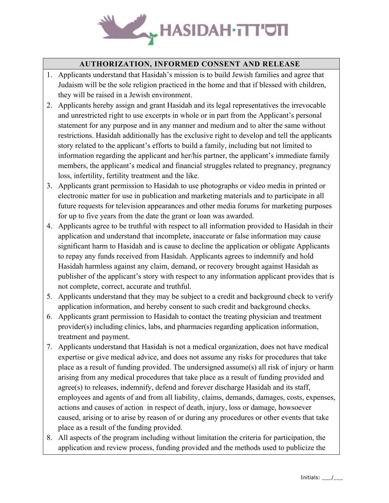

## **AUTHORIZATION, INFORMED CONSENT AND RELEASE**

- 1. Applicants understand that Hasidah's mission is to build Jewish families and agree that Judaism will be the sole religion practiced in the home and that if blessed with children, they will be raised in a Jewish environment.
- 2. Applicants hereby assign and grant Hasidah and its legal representatives the irrevocable and unrestricted right to use excerpts in whole or in part from the Applicant's personal statement for any purpose and in any manner and medium and to alter the same without restrictions. Hasidah additionally has the exclusive right to develop and tell the applicants story related to the applicant's efforts to build a family, including but not limited to information regarding the applicant and her/his partner, the applicant's immediate family members, the applicant's medical and financial struggles related to pregnancy, pregnancy loss, infertility, fertility treatment and the like.
- 3. Applicants grant permission to Hasidah to use photographs or video media in printed or electronic matter for use in publication and marketing materials and to participate in all future requests for television appearances and other media forums for marketing purposes for up to five years from the date the grant or loan was awarded.
- 4. Applicants agree to be truthful with respect to all information provided to Hasidah in their application and understand that incomplete, inaccurate or false information may cause significant harm to Hasidah and is cause to decline the application or obligate Applicants to repay any funds received from Hasidah. Applicants agrees to indemnify and hold Hasidah harmless against any claim, demand, or recovery brought against Hasidah as publisher of the applicant's story with respect to any information applicant provides that is not complete, correct, accurate and truthful.
- 5. Applicants understand that they may be subject to a credit and background check to verify application information, and hereby consent to such credit and background checks.
- 6. Applicants grant permission to Hasidah to contact the treating physician and treatment provider(s) including clinics, labs, and pharmacies regarding application information, treatment and payment.
- 7. Applicants understand that Hasidah is not a medical organization, does not have medical expertise or give medical advice, and does not assume any risks for procedures that take place as a result of funding provided. The undersigned assume(s) all risk of injury or harm arising from any medical procedures that take place as a result of funding provided and agree(s) to releases, indemnify, defend and forever discharge Hasidah and its staff, employees and agents of and from all liability, claims, demands, damages, costs, expenses, actions and causes of action in respect of death, injury, loss or damage, howsoever caused, arising or to arise by reason of or during any procedures or other events that take place as a result of the funding provided.
- 8. All aspects of the program including without limitation the criteria for participation, the application and review process, funding provided and the methods used to publicize the